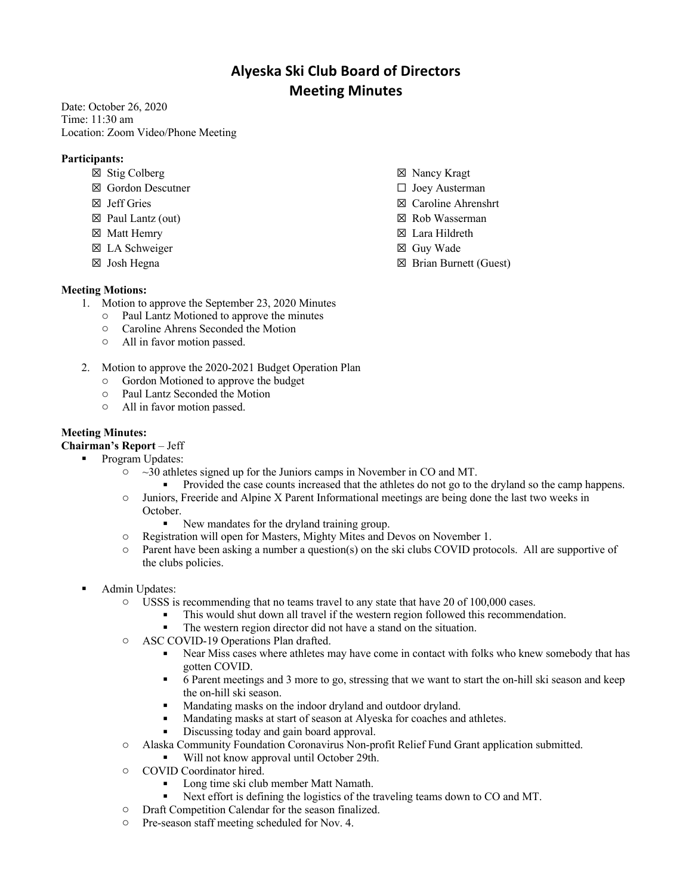# **Alyeska Ski Club Board of Directors Meeting Minutes**

Date: October 26, 2020 Time: 11:30 am Location: Zoom Video/Phone Meeting

## **Participants:**

- ☒ Stig Colberg
- ☒ Gordon Descutner
- ☒ Jeff Gries
- ☒ Paul Lantz (out)
- ☒ Matt Hemry
- ☒ LA Schweiger
- ☒ Josh Hegna

## ☒ Nancy Kragt

- ☐ Joey Austerman
- ☒ Caroline Ahrenshrt
- ☒ Rob Wasserman
- ☒ Lara Hildreth
- ☒ Guy Wade
- ☒ Brian Burnett (Guest)

#### **Meeting Motions:**

- 1. Motion to approve the September 23, 2020 Minutes
	- o Paul Lantz Motioned to approve the minutes
	- o Caroline Ahrens Seconded the Motion
	- o All in favor motion passed.
- 2. Motion to approve the 2020-2021 Budget Operation Plan
	- o Gordon Motioned to approve the budget
	- o Paul Lantz Seconded the Motion
	- o All in favor motion passed.

### **Meeting Minutes:**

**Chairman's Report** – Jeff

- § Program Updates:
	- $\circ$  ~30 athletes signed up for the Juniors camps in November in CO and MT.
		- § Provided the case counts increased that the athletes do not go to the dryland so the camp happens.
	- o Juniors, Freeride and Alpine X Parent Informational meetings are being done the last two weeks in October.
		- New mandates for the dryland training group.
	- o Registration will open for Masters, Mighty Mites and Devos on November 1.
	- o Parent have been asking a number a question(s) on the ski clubs COVID protocols. All are supportive of the clubs policies.
	- § Admin Updates:
		- o USSS is recommending that no teams travel to any state that have 20 of 100,000 cases.
			- This would shut down all travel if the western region followed this recommendation.
			- The western region director did not have a stand on the situation.
		- o ASC COVID-19 Operations Plan drafted.
			- Near Miss cases where athletes may have come in contact with folks who knew somebody that has gotten COVID.
			- § 6 Parent meetings and 3 more to go, stressing that we want to start the on-hill ski season and keep the on-hill ski season.
			- Mandating masks on the indoor dryland and outdoor dryland.
			- Mandating masks at start of season at Alyeska for coaches and athletes.
			- Discussing today and gain board approval.
		- o Alaska Community Foundation Coronavirus Non-profit Relief Fund Grant application submitted.
			- Will not know approval until October 29th.
		- o COVID Coordinator hired.
			- § Long time ski club member Matt Namath.
			- Next effort is defining the logistics of the traveling teams down to CO and MT.
		- o Draft Competition Calendar for the season finalized.
		- o Pre-season staff meeting scheduled for Nov. 4.